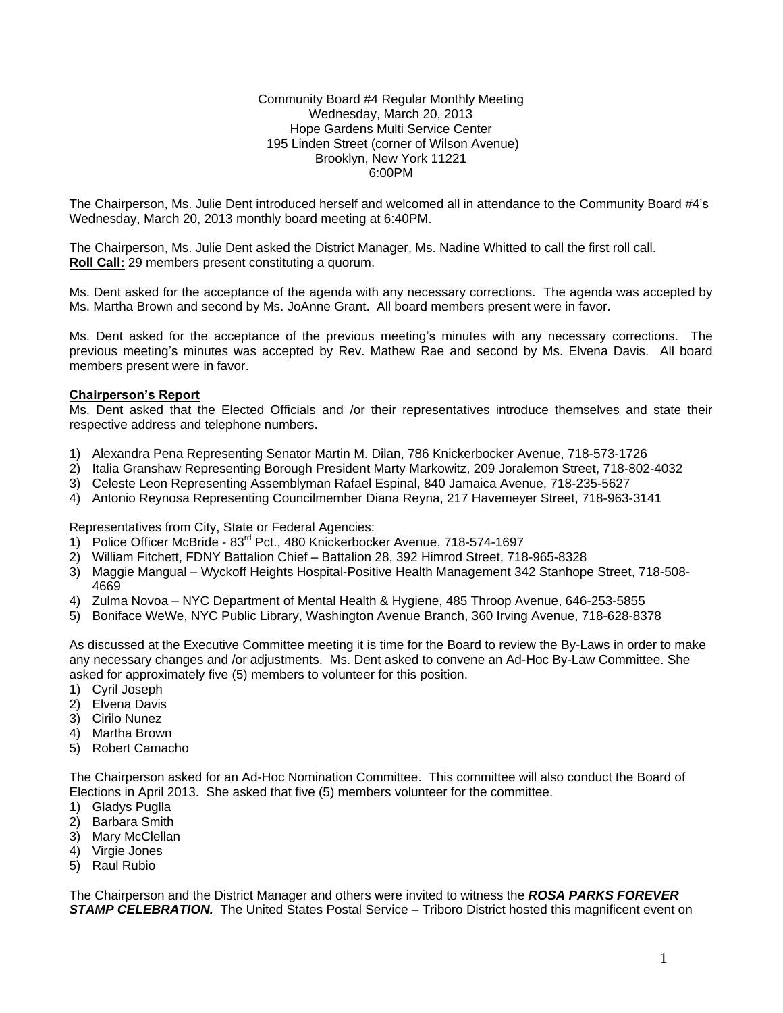Community Board #4 Regular Monthly Meeting Wednesday, March 20, 2013 Hope Gardens Multi Service Center 195 Linden Street (corner of Wilson Avenue) Brooklyn, New York 11221 6:00PM

The Chairperson, Ms. Julie Dent introduced herself and welcomed all in attendance to the Community Board #4's Wednesday, March 20, 2013 monthly board meeting at 6:40PM.

The Chairperson, Ms. Julie Dent asked the District Manager, Ms. Nadine Whitted to call the first roll call. **Roll Call:** 29 members present constituting a quorum.

Ms. Dent asked for the acceptance of the agenda with any necessary corrections. The agenda was accepted by Ms. Martha Brown and second by Ms. JoAnne Grant. All board members present were in favor.

Ms. Dent asked for the acceptance of the previous meeting's minutes with any necessary corrections. The previous meeting's minutes was accepted by Rev. Mathew Rae and second by Ms. Elvena Davis. All board members present were in favor.

## **Chairperson's Report**

Ms. Dent asked that the Elected Officials and /or their representatives introduce themselves and state their respective address and telephone numbers.

- 1) Alexandra Pena Representing Senator Martin M. Dilan, 786 Knickerbocker Avenue, 718-573-1726
- 2) Italia Granshaw Representing Borough President Marty Markowitz, 209 Joralemon Street, 718-802-4032
- 3) Celeste Leon Representing Assemblyman Rafael Espinal, 840 Jamaica Avenue, 718-235-5627
- 4) Antonio Reynosa Representing Councilmember Diana Reyna, 217 Havemeyer Street, 718-963-3141

Representatives from City, State or Federal Agencies:

- 1) Police Officer McBride 83<sup>rd</sup> Pct., 480 Knickerbocker Avenue, 718-574-1697
- 2) William Fitchett, FDNY Battalion Chief Battalion 28, 392 Himrod Street, 718-965-8328
- 3) Maggie Mangual Wyckoff Heights Hospital-Positive Health Management 342 Stanhope Street, 718-508- 4669
- 4) Zulma Novoa NYC Department of Mental Health & Hygiene, 485 Throop Avenue, 646-253-5855
- 5) Boniface WeWe, NYC Public Library, Washington Avenue Branch, 360 Irving Avenue, 718-628-8378

As discussed at the Executive Committee meeting it is time for the Board to review the By-Laws in order to make any necessary changes and /or adjustments. Ms. Dent asked to convene an Ad-Hoc By-Law Committee. She asked for approximately five (5) members to volunteer for this position.

- 1) Cyril Joseph
- 2) Elvena Davis
- 3) Cirilo Nunez
- 4) Martha Brown
- 5) Robert Camacho

The Chairperson asked for an Ad-Hoc Nomination Committee. This committee will also conduct the Board of Elections in April 2013. She asked that five (5) members volunteer for the committee.

- 1) Gladys Puglla
- 2) Barbara Smith
- 3) Mary McClellan
- 4) Virgie Jones
- 5) Raul Rubio

The Chairperson and the District Manager and others were invited to witness the *ROSA PARKS FOREVER*  **STAMP CELEBRATION.** The United States Postal Service – Triboro District hosted this magnificent event on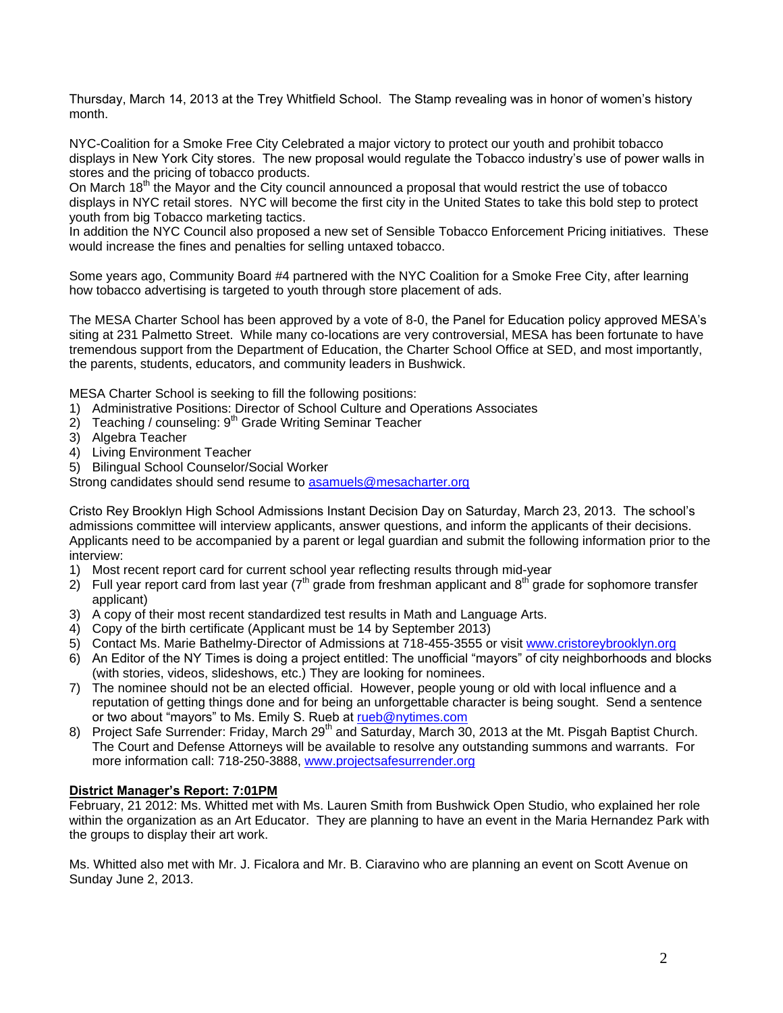Thursday, March 14, 2013 at the Trey Whitfield School. The Stamp revealing was in honor of women's history month.

NYC-Coalition for a Smoke Free City Celebrated a major victory to protect our youth and prohibit tobacco displays in New York City stores. The new proposal would regulate the Tobacco industry's use of power walls in stores and the pricing of tobacco products.

On March  $18<sup>th</sup>$  the Mayor and the City council announced a proposal that would restrict the use of tobacco displays in NYC retail stores. NYC will become the first city in the United States to take this bold step to protect youth from big Tobacco marketing tactics.

In addition the NYC Council also proposed a new set of Sensible Tobacco Enforcement Pricing initiatives. These would increase the fines and penalties for selling untaxed tobacco.

Some years ago, Community Board #4 partnered with the NYC Coalition for a Smoke Free City, after learning how tobacco advertising is targeted to youth through store placement of ads.

The MESA Charter School has been approved by a vote of 8-0, the Panel for Education policy approved MESA's siting at 231 Palmetto Street. While many co-locations are very controversial, MESA has been fortunate to have tremendous support from the Department of Education, the Charter School Office at SED, and most importantly, the parents, students, educators, and community leaders in Bushwick.

MESA Charter School is seeking to fill the following positions:

- 1) Administrative Positions: Director of School Culture and Operations Associates
- $2)$  Teaching / counseling:  $9<sup>th</sup>$  Grade Writing Seminar Teacher
- 3) Algebra Teacher
- 4) Living Environment Teacher
- 5) Bilingual School Counselor/Social Worker

Strong candidates should send resume to [asamuels@mesacharter.org](mailto:asamuels@mesacharter.org)

Cristo Rey Brooklyn High School Admissions Instant Decision Day on Saturday, March 23, 2013. The school's admissions committee will interview applicants, answer questions, and inform the applicants of their decisions. Applicants need to be accompanied by a parent or legal guardian and submit the following information prior to the interview:

- 1) Most recent report card for current school year reflecting results through mid-year
- 2) Full year report card from last year ( $7<sup>th</sup>$  grade from freshman applicant and 8<sup>th</sup> grade for sophomore transfer applicant)
- 3) A copy of their most recent standardized test results in Math and Language Arts.
- 4) Copy of the birth certificate (Applicant must be 14 by September 2013)
- 5) Contact Ms. Marie Bathelmy-Director of Admissions at 718-455-3555 or visit [www.cristoreybrooklyn.org](http://www.cristoreybrooklyn.org/)
- 6) An Editor of the NY Times is doing a project entitled: The unofficial "mayors" of city neighborhoods and blocks (with stories, videos, slideshows, etc.) They are looking for nominees.
- 7) The nominee should not be an elected official. However, people young or old with local influence and a reputation of getting things done and for being an unforgettable character is being sought. Send a sentence or two about "mayors" to Ms. Emily S. Rueb at rueb@nytimes.com
- 8) Project Safe Surrender: Friday, March 29<sup>th</sup> and Saturday, March 30, 2013 at the Mt. Pisgah Baptist Church. The Court and Defense Attorneys will be available to resolve any outstanding summons and warrants. For more information call: 718-250-3888, [www.projectsafesurrender.org](http://www.projectsafesurrender.org/)

### **District Manager's Report: 7:01PM**

February, 21 2012: Ms. Whitted met with Ms. Lauren Smith from Bushwick Open Studio, who explained her role within the organization as an Art Educator. They are planning to have an event in the Maria Hernandez Park with the groups to display their art work.

Ms. Whitted also met with Mr. J. Ficalora and Mr. B. Ciaravino who are planning an event on Scott Avenue on Sunday June 2, 2013.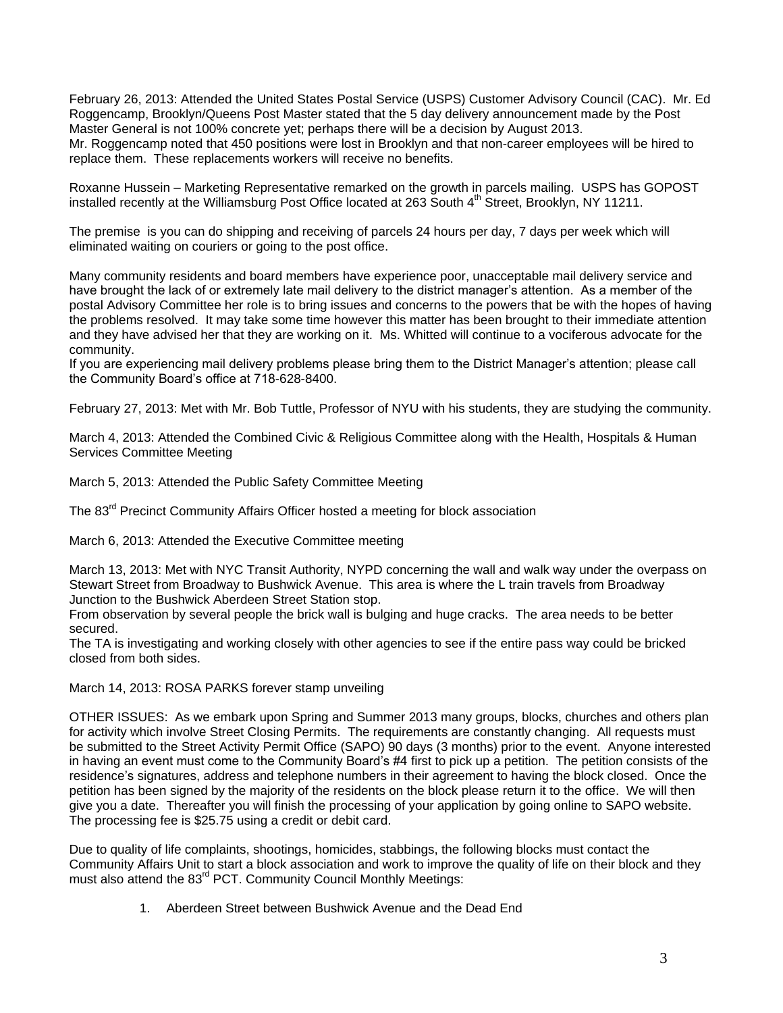February 26, 2013: Attended the United States Postal Service (USPS) Customer Advisory Council (CAC). Mr. Ed Roggencamp, Brooklyn/Queens Post Master stated that the 5 day delivery announcement made by the Post Master General is not 100% concrete yet; perhaps there will be a decision by August 2013. Mr. Roggencamp noted that 450 positions were lost in Brooklyn and that non-career employees will be hired to replace them. These replacements workers will receive no benefits.

Roxanne Hussein – Marketing Representative remarked on the growth in parcels mailing. USPS has GOPOST installed recently at the Williamsburg Post Office located at 263 South 4<sup>th</sup> Street, Brooklyn, NY 11211.

The premise is you can do shipping and receiving of parcels 24 hours per day, 7 days per week which will eliminated waiting on couriers or going to the post office.

Many community residents and board members have experience poor, unacceptable mail delivery service and have brought the lack of or extremely late mail delivery to the district manager's attention. As a member of the postal Advisory Committee her role is to bring issues and concerns to the powers that be with the hopes of having the problems resolved. It may take some time however this matter has been brought to their immediate attention and they have advised her that they are working on it. Ms. Whitted will continue to a vociferous advocate for the community.

If you are experiencing mail delivery problems please bring them to the District Manager's attention; please call the Community Board's office at 718-628-8400.

February 27, 2013: Met with Mr. Bob Tuttle, Professor of NYU with his students, they are studying the community.

March 4, 2013: Attended the Combined Civic & Religious Committee along with the Health, Hospitals & Human Services Committee Meeting

March 5, 2013: Attended the Public Safety Committee Meeting

The 83<sup>rd</sup> Precinct Community Affairs Officer hosted a meeting for block association

March 6, 2013: Attended the Executive Committee meeting

March 13, 2013: Met with NYC Transit Authority, NYPD concerning the wall and walk way under the overpass on Stewart Street from Broadway to Bushwick Avenue. This area is where the L train travels from Broadway Junction to the Bushwick Aberdeen Street Station stop.

From observation by several people the brick wall is bulging and huge cracks. The area needs to be better secured.

The TA is investigating and working closely with other agencies to see if the entire pass way could be bricked closed from both sides.

March 14, 2013: ROSA PARKS forever stamp unveiling

OTHER ISSUES: As we embark upon Spring and Summer 2013 many groups, blocks, churches and others plan for activity which involve Street Closing Permits. The requirements are constantly changing. All requests must be submitted to the Street Activity Permit Office (SAPO) 90 days (3 months) prior to the event. Anyone interested in having an event must come to the Community Board's #4 first to pick up a petition. The petition consists of the residence's signatures, address and telephone numbers in their agreement to having the block closed. Once the petition has been signed by the majority of the residents on the block please return it to the office. We will then give you a date. Thereafter you will finish the processing of your application by going online to SAPO website. The processing fee is \$25.75 using a credit or debit card.

Due to quality of life complaints, shootings, homicides, stabbings, the following blocks must contact the Community Affairs Unit to start a block association and work to improve the quality of life on their block and they must also attend the 83<sup>rd</sup> PCT. Community Council Monthly Meetings:

1. Aberdeen Street between Bushwick Avenue and the Dead End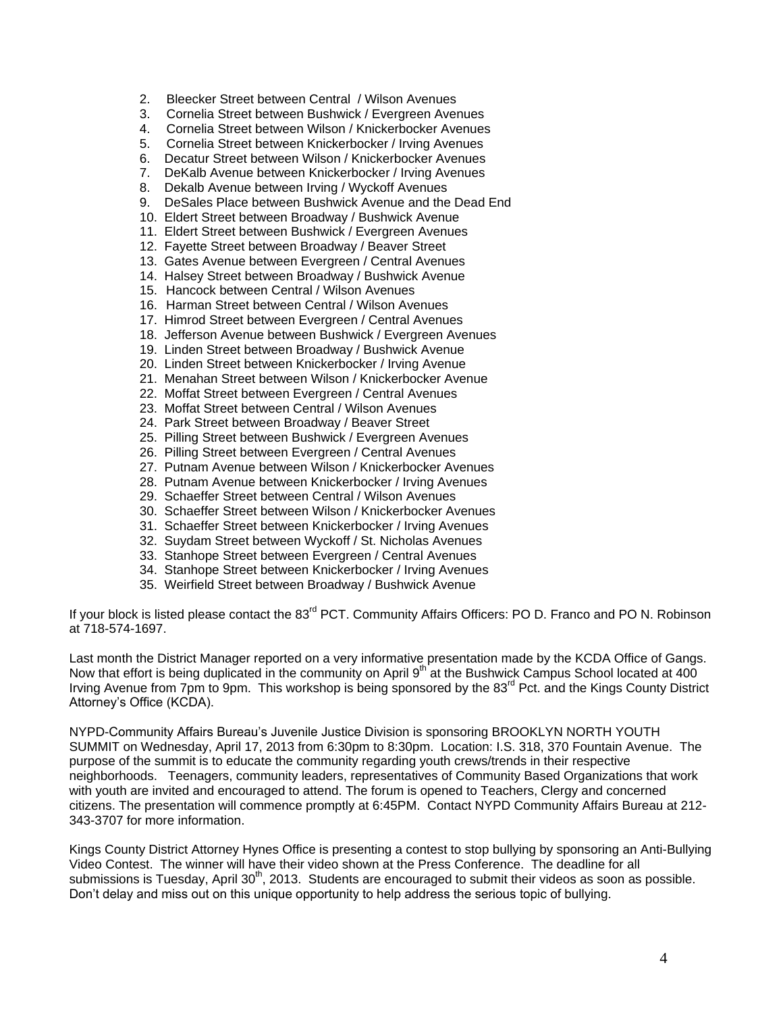- 2. Bleecker Street between Central / Wilson Avenues
- 3. Cornelia Street between Bushwick / Evergreen Avenues
- 4. Cornelia Street between Wilson / Knickerbocker Avenues
- 5. Cornelia Street between Knickerbocker / Irving Avenues
- 6. Decatur Street between Wilson / Knickerbocker Avenues
- 7. DeKalb Avenue between Knickerbocker / Irving Avenues
- 8. Dekalb Avenue between Irving / Wyckoff Avenues
- 9. DeSales Place between Bushwick Avenue and the Dead End
- 10. Eldert Street between Broadway / Bushwick Avenue
- 11. Eldert Street between Bushwick / Evergreen Avenues
- 12. Fayette Street between Broadway / Beaver Street
- 13. Gates Avenue between Evergreen / Central Avenues
- 14. Halsey Street between Broadway / Bushwick Avenue
- 15. Hancock between Central / Wilson Avenues
- 16. Harman Street between Central / Wilson Avenues
- 17. Himrod Street between Evergreen / Central Avenues
- 18. Jefferson Avenue between Bushwick / Evergreen Avenues
- 19. Linden Street between Broadway / Bushwick Avenue
- 20. Linden Street between Knickerbocker / Irving Avenue
- 21. Menahan Street between Wilson / Knickerbocker Avenue
- 22. Moffat Street between Evergreen / Central Avenues
- 23. Moffat Street between Central / Wilson Avenues
- 24. Park Street between Broadway / Beaver Street
- 25. Pilling Street between Bushwick / Evergreen Avenues
- 26. Pilling Street between Evergreen / Central Avenues
- 27. Putnam Avenue between Wilson / Knickerbocker Avenues
- 28. Putnam Avenue between Knickerbocker / Irving Avenues
- 29. Schaeffer Street between Central / Wilson Avenues
- 30. Schaeffer Street between Wilson / Knickerbocker Avenues
- 31. Schaeffer Street between Knickerbocker / Irving Avenues
- 32. Suydam Street between Wyckoff / St. Nicholas Avenues
- 33. Stanhope Street between Evergreen / Central Avenues
- 34. Stanhope Street between Knickerbocker / Irving Avenues
- 35. Weirfield Street between Broadway / Bushwick Avenue

If your block is listed please contact the 83<sup>rd</sup> PCT. Community Affairs Officers: PO D. Franco and PO N. Robinson at 718-574-1697.

Last month the District Manager reported on a very informative presentation made by the KCDA Office of Gangs. Now that effort is being duplicated in the community on April 9<sup>th</sup> at the Bushwick Campus School located at 400 Irving Avenue from 7pm to 9pm. This workshop is being sponsored by the 83<sup>rd</sup> Pct. and the Kings County District Attorney's Office (KCDA).

NYPD-Community Affairs Bureau's Juvenile Justice Division is sponsoring BROOKLYN NORTH YOUTH SUMMIT on Wednesday, April 17, 2013 from 6:30pm to 8:30pm. Location: I.S. 318, 370 Fountain Avenue. The purpose of the summit is to educate the community regarding youth crews/trends in their respective neighborhoods. Teenagers, community leaders, representatives of Community Based Organizations that work with youth are invited and encouraged to attend. The forum is opened to Teachers, Clergy and concerned citizens. The presentation will commence promptly at 6:45PM. Contact NYPD Community Affairs Bureau at 212- 343-3707 for more information.

Kings County District Attorney Hynes Office is presenting a contest to stop bullying by sponsoring an Anti-Bullying Video Contest. The winner will have their video shown at the Press Conference. The deadline for all submissions is Tuesday, April 30<sup>th</sup>, 2013. Students are encouraged to submit their videos as soon as possible. Don't delay and miss out on this unique opportunity to help address the serious topic of bullying.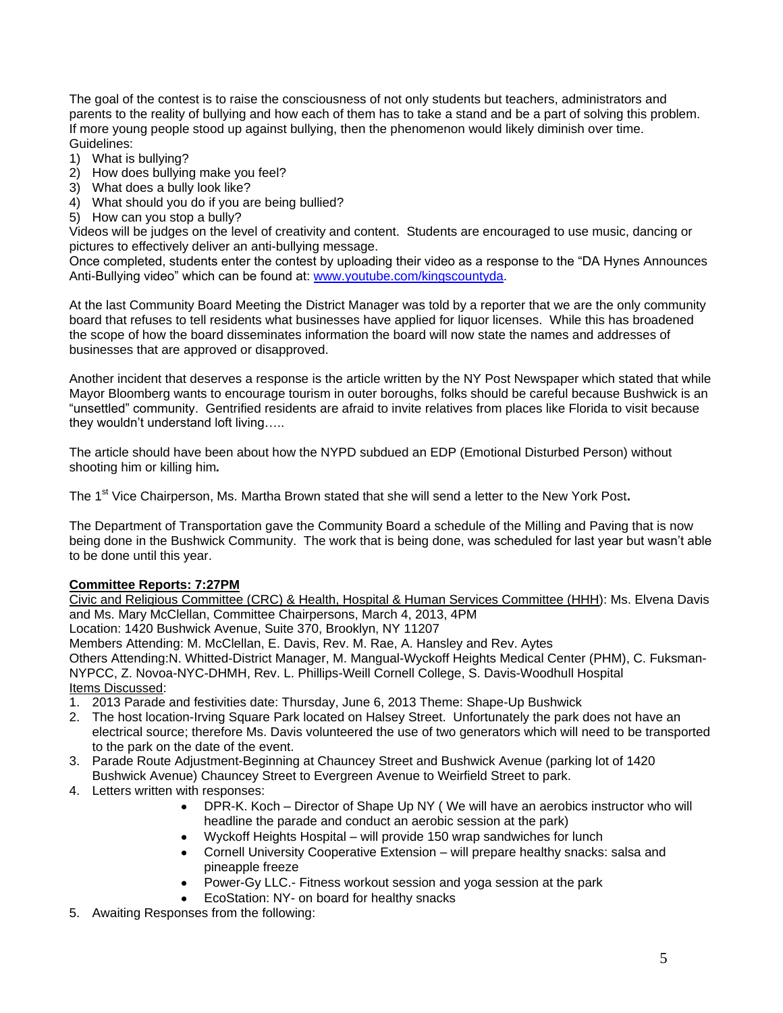The goal of the contest is to raise the consciousness of not only students but teachers, administrators and parents to the reality of bullying and how each of them has to take a stand and be a part of solving this problem. If more young people stood up against bullying, then the phenomenon would likely diminish over time. Guidelines:

- 1) What is bullying?
- 2) How does bullying make you feel?
- 3) What does a bully look like?
- 4) What should you do if you are being bullied?
- 5) How can you stop a bully?

Videos will be judges on the level of creativity and content. Students are encouraged to use music, dancing or pictures to effectively deliver an anti-bullying message.

Once completed, students enter the contest by uploading their video as a response to the "DA Hynes Announces Anti-Bullying video" which can be found at: [www.youtube.com/kingscountyda.](http://www.youtube.com/kingscountyda)

At the last Community Board Meeting the District Manager was told by a reporter that we are the only community board that refuses to tell residents what businesses have applied for liquor licenses. While this has broadened the scope of how the board disseminates information the board will now state the names and addresses of businesses that are approved or disapproved.

Another incident that deserves a response is the article written by the NY Post Newspaper which stated that while Mayor Bloomberg wants to encourage tourism in outer boroughs, folks should be careful because Bushwick is an "unsettled" community. Gentrified residents are afraid to invite relatives from places like Florida to visit because they wouldn't understand loft living…..

The article should have been about how the NYPD subdued an EDP (Emotional Disturbed Person) without shooting him or killing him*.* 

The 1<sup>st</sup> Vice Chairperson, Ms. Martha Brown stated that she will send a letter to the New York Post.

The Department of Transportation gave the Community Board a schedule of the Milling and Paving that is now being done in the Bushwick Community. The work that is being done, was scheduled for last year but wasn't able to be done until this year.

# **Committee Reports: 7:27PM**

Civic and Religious Committee (CRC) & Health, Hospital & Human Services Committee (HHH): Ms. Elvena Davis and Ms. Mary McClellan, Committee Chairpersons, March 4, 2013, 4PM

Location: 1420 Bushwick Avenue, Suite 370, Brooklyn, NY 11207

Members Attending: M. McClellan, E. Davis, Rev. M. Rae, A. Hansley and Rev. Aytes

Others Attending:N. Whitted-District Manager, M. Mangual-Wyckoff Heights Medical Center (PHM), C. Fuksman-NYPCC, Z. Novoa-NYC-DHMH, Rev. L. Phillips-Weill Cornell College, S. Davis-Woodhull Hospital Items Discussed:

- 1. 2013 Parade and festivities date: Thursday, June 6, 2013 Theme: Shape-Up Bushwick
- 2. The host location-Irving Square Park located on Halsey Street. Unfortunately the park does not have an electrical source; therefore Ms. Davis volunteered the use of two generators which will need to be transported to the park on the date of the event.
- 3. Parade Route Adjustment-Beginning at Chauncey Street and Bushwick Avenue (parking lot of 1420 Bushwick Avenue) Chauncey Street to Evergreen Avenue to Weirfield Street to park.
- 4. Letters written with responses:
	- DPR-K. Koch Director of Shape Up NY ( We will have an aerobics instructor who will headline the parade and conduct an aerobic session at the park)
	- Wyckoff Heights Hospital will provide 150 wrap sandwiches for lunch
	- Cornell University Cooperative Extension will prepare healthy snacks: salsa and pineapple freeze
	- Power-Gy LLC.- Fitness workout session and yoga session at the park
	- EcoStation: NY- on board for healthy snacks
- 5. Awaiting Responses from the following: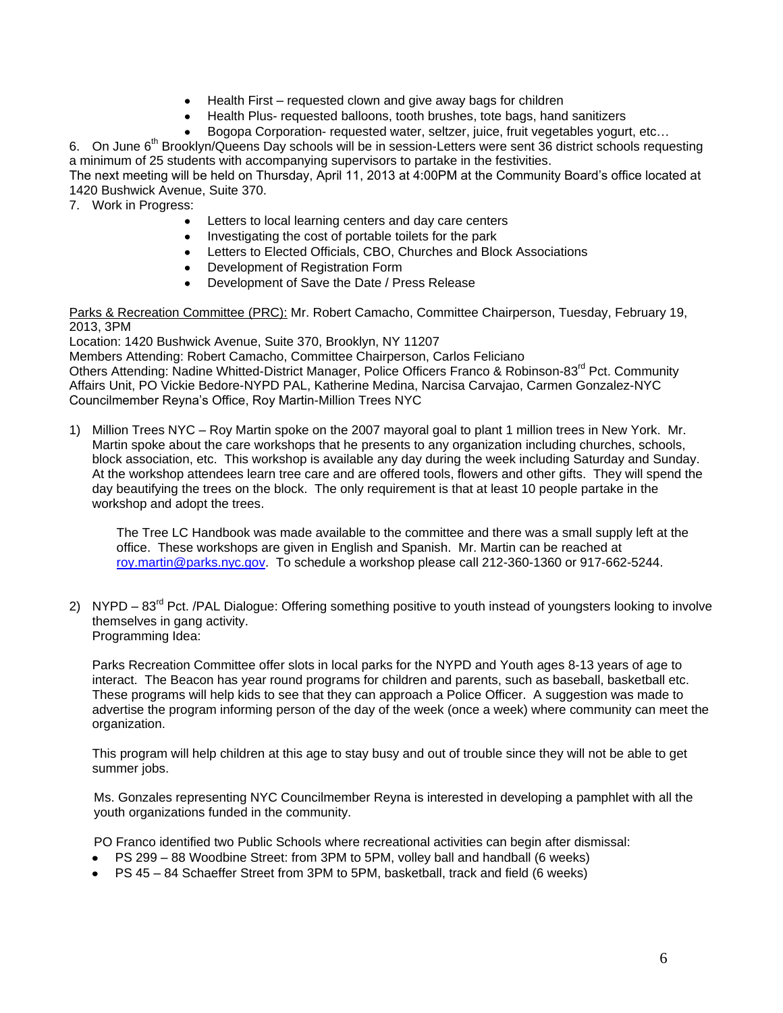- Health First requested clown and give away bags for children
- Health Plus- requested balloons, tooth brushes, tote bags, hand sanitizers
- Bogopa Corporation- requested water, seltzer, juice, fruit vegetables yogurt, etc…

6. On June 6<sup>th</sup> Brooklyn/Queens Day schools will be in session-Letters were sent 36 district schools requesting a minimum of 25 students with accompanying supervisors to partake in the festivities.

The next meeting will be held on Thursday, April 11, 2013 at 4:00PM at the Community Board's office located at 1420 Bushwick Avenue, Suite 370.

7. Work in Progress:

- $\bullet$ Letters to local learning centers and day care centers
- Investigating the cost of portable toilets for the park  $\bullet$
- Letters to Elected Officials, CBO, Churches and Block Associations  $\bullet$
- Development of Registration Form
- Development of Save the Date / Press Release

Parks & Recreation Committee (PRC): Mr. Robert Camacho, Committee Chairperson, Tuesday, February 19, 2013, 3PM

Location: 1420 Bushwick Avenue, Suite 370, Brooklyn, NY 11207

Members Attending: Robert Camacho, Committee Chairperson, Carlos Feliciano Others Attending: Nadine Whitted-District Manager, Police Officers Franco & Robinson-83rd Pct. Community Affairs Unit, PO Vickie Bedore-NYPD PAL, Katherine Medina, Narcisa Carvajao, Carmen Gonzalez-NYC Councilmember Reyna's Office, Roy Martin-Million Trees NYC

1) Million Trees NYC – Roy Martin spoke on the 2007 mayoral goal to plant 1 million trees in New York. Mr. Martin spoke about the care workshops that he presents to any organization including churches, schools, block association, etc. This workshop is available any day during the week including Saturday and Sunday. At the workshop attendees learn tree care and are offered tools, flowers and other gifts. They will spend the day beautifying the trees on the block. The only requirement is that at least 10 people partake in the workshop and adopt the trees.

The Tree LC Handbook was made available to the committee and there was a small supply left at the office. These workshops are given in English and Spanish. Mr. Martin can be reached at [roy.martin@parks.nyc.gov.](mailto:roy.martin@parks.nyc.gov) To schedule a workshop please call 212-360-1360 or 917-662-5244.

2) NYPD – 83<sup>rd</sup> Pct. /PAL Dialogue: Offering something positive to youth instead of youngsters looking to involve themselves in gang activity. Programming Idea:

Parks Recreation Committee offer slots in local parks for the NYPD and Youth ages 8-13 years of age to interact. The Beacon has year round programs for children and parents, such as baseball, basketball etc. These programs will help kids to see that they can approach a Police Officer. A suggestion was made to advertise the program informing person of the day of the week (once a week) where community can meet the organization.

This program will help children at this age to stay busy and out of trouble since they will not be able to get summer jobs.

 Ms. Gonzales representing NYC Councilmember Reyna is interested in developing a pamphlet with all the youth organizations funded in the community.

PO Franco identified two Public Schools where recreational activities can begin after dismissal:

- PS 299 88 Woodbine Street: from 3PM to 5PM, volley ball and handball (6 weeks)
- PS 45 84 Schaeffer Street from 3PM to 5PM, basketball, track and field (6 weeks)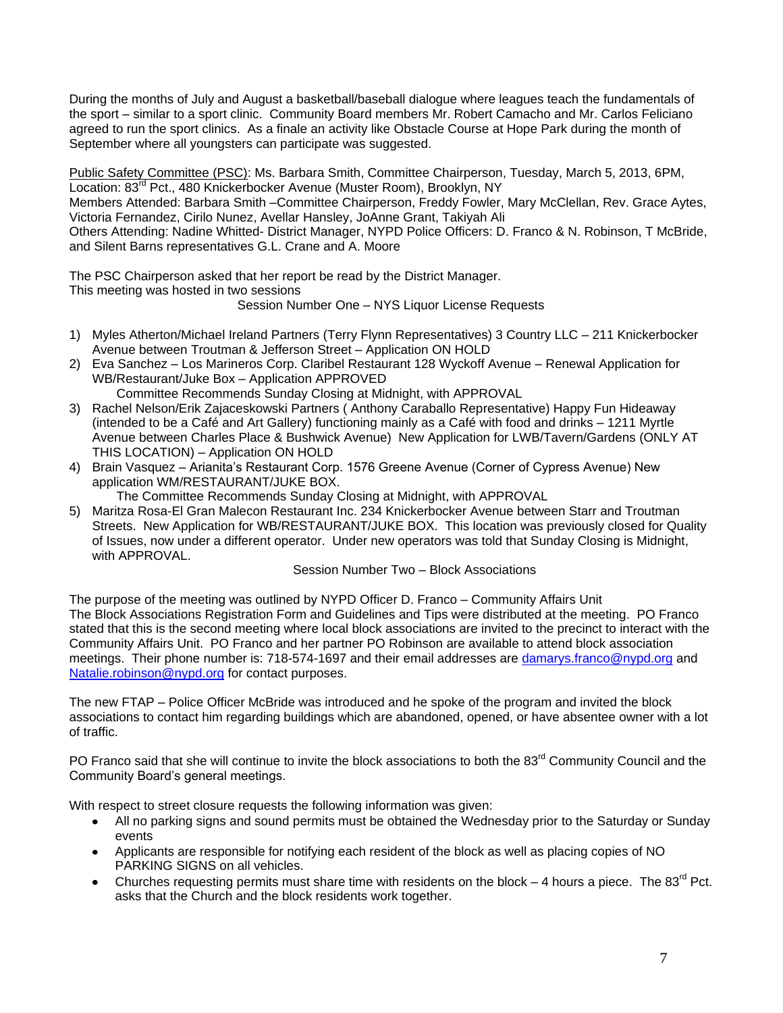During the months of July and August a basketball/baseball dialogue where leagues teach the fundamentals of the sport – similar to a sport clinic. Community Board members Mr. Robert Camacho and Mr. Carlos Feliciano agreed to run the sport clinics. As a finale an activity like Obstacle Course at Hope Park during the month of September where all youngsters can participate was suggested.

Public Safety Committee (PSC): Ms. Barbara Smith, Committee Chairperson, Tuesday, March 5, 2013, 6PM, Location: 83<sup>rd</sup> Pct., 480 Knickerbocker Avenue (Muster Room), Brooklyn, NY

Members Attended: Barbara Smith –Committee Chairperson, Freddy Fowler, Mary McClellan, Rev. Grace Aytes, Victoria Fernandez, Cirilo Nunez, Avellar Hansley, JoAnne Grant, Takiyah Ali

Others Attending: Nadine Whitted- District Manager, NYPD Police Officers: D. Franco & N. Robinson, T McBride, and Silent Barns representatives G.L. Crane and A. Moore

The PSC Chairperson asked that her report be read by the District Manager. This meeting was hosted in two sessions

Session Number One – NYS Liquor License Requests

- 1) Myles Atherton/Michael Ireland Partners (Terry Flynn Representatives) 3 Country LLC 211 Knickerbocker Avenue between Troutman & Jefferson Street – Application ON HOLD
- 2) Eva Sanchez Los Marineros Corp. Claribel Restaurant 128 Wyckoff Avenue Renewal Application for WB/Restaurant/Juke Box – Application APPROVED

Committee Recommends Sunday Closing at Midnight, with APPROVAL

- 3) Rachel Nelson/Erik Zajaceskowski Partners ( Anthony Caraballo Representative) Happy Fun Hideaway (intended to be a Café and Art Gallery) functioning mainly as a Café with food and drinks – 1211 Myrtle Avenue between Charles Place & Bushwick Avenue) New Application for LWB/Tavern/Gardens (ONLY AT THIS LOCATION) – Application ON HOLD
- 4) Brain Vasquez Arianita's Restaurant Corp. 1576 Greene Avenue (Corner of Cypress Avenue) New application WM/RESTAURANT/JUKE BOX.

The Committee Recommends Sunday Closing at Midnight, with APPROVAL

5) Maritza Rosa-El Gran Malecon Restaurant Inc. 234 Knickerbocker Avenue between Starr and Troutman Streets. New Application for WB/RESTAURANT/JUKE BOX. This location was previously closed for Quality of Issues, now under a different operator. Under new operators was told that Sunday Closing is Midnight, with APPROVAL.

Session Number Two – Block Associations

The purpose of the meeting was outlined by NYPD Officer D. Franco – Community Affairs Unit The Block Associations Registration Form and Guidelines and Tips were distributed at the meeting. PO Franco stated that this is the second meeting where local block associations are invited to the precinct to interact with the Community Affairs Unit. PO Franco and her partner PO Robinson are available to attend block association meetings. Their phone number is: 718-574-1697 and their email addresses are [damarys.franco@nypd.org](mailto:damarys.franco@nypd.org) and [Natalie.robinson@nypd.org](mailto:Natalie.robinson@nypd.org) for contact purposes.

The new FTAP – Police Officer McBride was introduced and he spoke of the program and invited the block associations to contact him regarding buildings which are abandoned, opened, or have absentee owner with a lot of traffic.

PO Franco said that she will continue to invite the block associations to both the 83<sup>rd</sup> Community Council and the Community Board's general meetings.

With respect to street closure requests the following information was given:

- All no parking signs and sound permits must be obtained the Wednesday prior to the Saturday or Sunday events
- Applicants are responsible for notifying each resident of the block as well as placing copies of NO PARKING SIGNS on all vehicles.
- Churches requesting permits must share time with residents on the block  $-$  4 hours a piece. The 83<sup>rd</sup> Pct. asks that the Church and the block residents work together.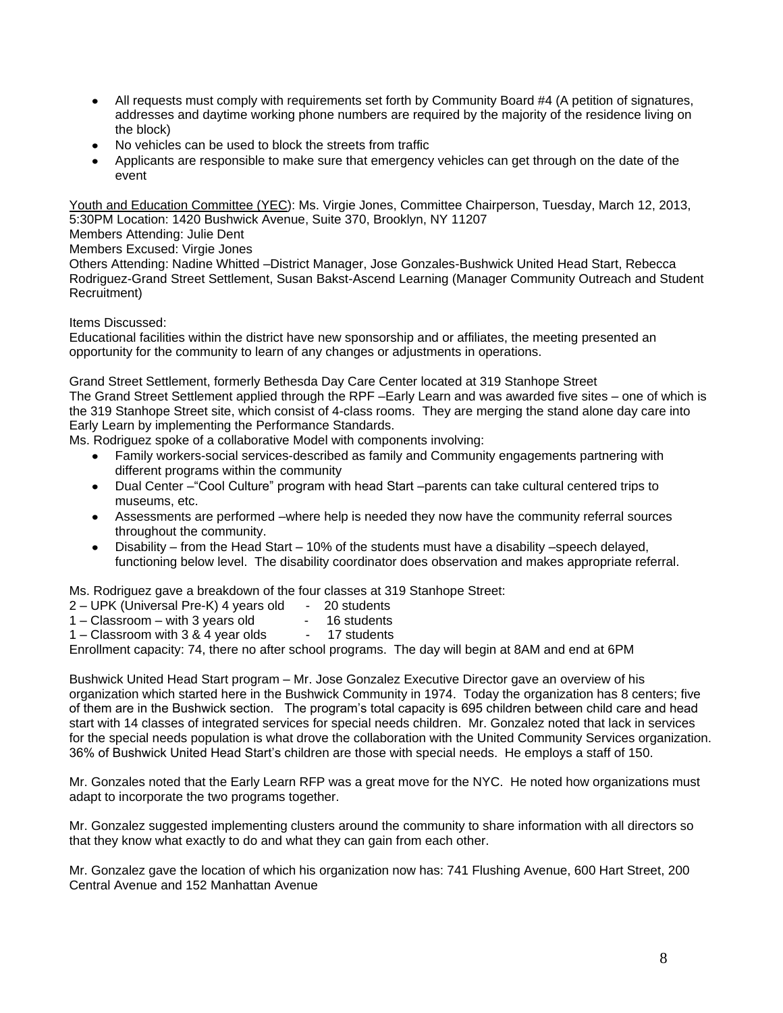- All requests must comply with requirements set forth by Community Board #4 (A petition of signatures, addresses and daytime working phone numbers are required by the majority of the residence living on the block)
- No vehicles can be used to block the streets from traffic
- Applicants are responsible to make sure that emergency vehicles can get through on the date of the event

Youth and Education Committee (YEC): Ms. Virgie Jones, Committee Chairperson, Tuesday, March 12, 2013, 5:30PM Location: 1420 Bushwick Avenue, Suite 370, Brooklyn, NY 11207

Members Attending: Julie Dent

Members Excused: Virgie Jones

Others Attending: Nadine Whitted –District Manager, Jose Gonzales-Bushwick United Head Start, Rebecca Rodriguez-Grand Street Settlement, Susan Bakst-Ascend Learning (Manager Community Outreach and Student Recruitment)

Items Discussed:

Educational facilities within the district have new sponsorship and or affiliates, the meeting presented an opportunity for the community to learn of any changes or adjustments in operations.

Grand Street Settlement, formerly Bethesda Day Care Center located at 319 Stanhope Street The Grand Street Settlement applied through the RPF –Early Learn and was awarded five sites – one of which is the 319 Stanhope Street site, which consist of 4-class rooms. They are merging the stand alone day care into Early Learn by implementing the Performance Standards.

Ms. Rodriguez spoke of a collaborative Model with components involving:

- Family workers-social services-described as family and Community engagements partnering with different programs within the community
- Dual Center –"Cool Culture" program with head Start –parents can take cultural centered trips to museums, etc.
- Assessments are performed –where help is needed they now have the community referral sources throughout the community.
- Disability from the Head Start 10% of the students must have a disability –speech delayed, functioning below level. The disability coordinator does observation and makes appropriate referral.

Ms. Rodriguez gave a breakdown of the four classes at 319 Stanhope Street:

- 2 UPK (Universal Pre-K) 4 years old 20 students
- $1 -$ Classroom with 3 years old  $1 -$  16 students
- $1 -$ Classroom with 3 & 4 year olds  $-$  17 students

Enrollment capacity: 74, there no after school programs. The day will begin at 8AM and end at 6PM

Bushwick United Head Start program – Mr. Jose Gonzalez Executive Director gave an overview of his organization which started here in the Bushwick Community in 1974. Today the organization has 8 centers; five of them are in the Bushwick section. The program's total capacity is 695 children between child care and head start with 14 classes of integrated services for special needs children. Mr. Gonzalez noted that lack in services for the special needs population is what drove the collaboration with the United Community Services organization. 36% of Bushwick United Head Start's children are those with special needs. He employs a staff of 150.

Mr. Gonzales noted that the Early Learn RFP was a great move for the NYC. He noted how organizations must adapt to incorporate the two programs together.

Mr. Gonzalez suggested implementing clusters around the community to share information with all directors so that they know what exactly to do and what they can gain from each other.

Mr. Gonzalez gave the location of which his organization now has: 741 Flushing Avenue, 600 Hart Street, 200 Central Avenue and 152 Manhattan Avenue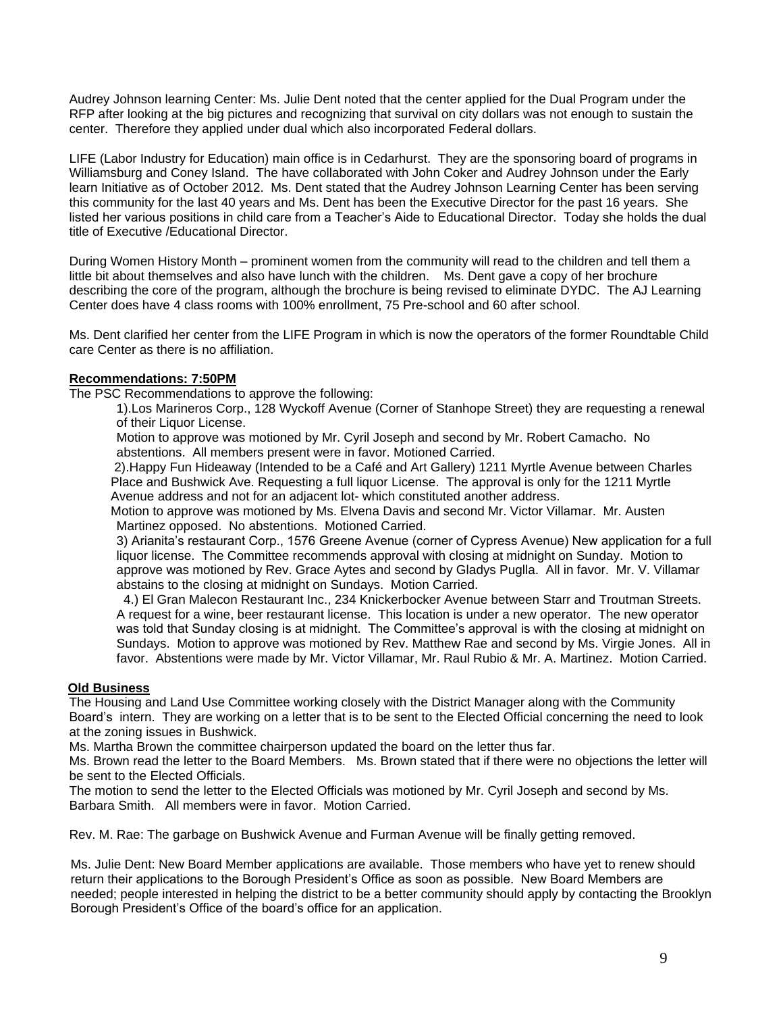Audrey Johnson learning Center: Ms. Julie Dent noted that the center applied for the Dual Program under the RFP after looking at the big pictures and recognizing that survival on city dollars was not enough to sustain the center. Therefore they applied under dual which also incorporated Federal dollars.

LIFE (Labor Industry for Education) main office is in Cedarhurst. They are the sponsoring board of programs in Williamsburg and Coney Island. The have collaborated with John Coker and Audrey Johnson under the Early learn Initiative as of October 2012. Ms. Dent stated that the Audrey Johnson Learning Center has been serving this community for the last 40 years and Ms. Dent has been the Executive Director for the past 16 years. She listed her various positions in child care from a Teacher's Aide to Educational Director. Today she holds the dual title of Executive /Educational Director.

During Women History Month – prominent women from the community will read to the children and tell them a little bit about themselves and also have lunch with the children. Ms. Dent gave a copy of her brochure describing the core of the program, although the brochure is being revised to eliminate DYDC. The AJ Learning Center does have 4 class rooms with 100% enrollment, 75 Pre-school and 60 after school.

Ms. Dent clarified her center from the LIFE Program in which is now the operators of the former Roundtable Child care Center as there is no affiliation.

# **Recommendations: 7:50PM**

The PSC Recommendations to approve the following:

1).Los Marineros Corp., 128 Wyckoff Avenue (Corner of Stanhope Street) they are requesting a renewal of their Liquor License.

Motion to approve was motioned by Mr. Cyril Joseph and second by Mr. Robert Camacho. No abstentions. All members present were in favor. Motioned Carried.

2).Happy Fun Hideaway (Intended to be a Café and Art Gallery) 1211 Myrtle Avenue between Charles Place and Bushwick Ave. Requesting a full liquor License. The approval is only for the 1211 Myrtle Avenue address and not for an adjacent lot- which constituted another address.

Motion to approve was motioned by Ms. Elvena Davis and second Mr. Victor Villamar. Mr. Austen Martinez opposed. No abstentions. Motioned Carried.

3) Arianita's restaurant Corp., 1576 Greene Avenue (corner of Cypress Avenue) New application for a full liquor license. The Committee recommends approval with closing at midnight on Sunday. Motion to approve was motioned by Rev. Grace Aytes and second by Gladys Puglla. All in favor. Mr. V. Villamar abstains to the closing at midnight on Sundays. Motion Carried.

 4.) El Gran Malecon Restaurant Inc., 234 Knickerbocker Avenue between Starr and Troutman Streets. A request for a wine, beer restaurant license. This location is under a new operator. The new operator was told that Sunday closing is at midnight. The Committee's approval is with the closing at midnight on Sundays. Motion to approve was motioned by Rev. Matthew Rae and second by Ms. Virgie Jones. All in favor. Abstentions were made by Mr. Victor Villamar, Mr. Raul Rubio & Mr. A. Martinez. Motion Carried.

### **Old Business**

The Housing and Land Use Committee working closely with the District Manager along with the Community Board's intern. They are working on a letter that is to be sent to the Elected Official concerning the need to look at the zoning issues in Bushwick.

Ms. Martha Brown the committee chairperson updated the board on the letter thus far.

Ms. Brown read the letter to the Board Members. Ms. Brown stated that if there were no objections the letter will be sent to the Elected Officials.

The motion to send the letter to the Elected Officials was motioned by Mr. Cyril Joseph and second by Ms. Barbara Smith. All members were in favor. Motion Carried.

Rev. M. Rae: The garbage on Bushwick Avenue and Furman Avenue will be finally getting removed.

Ms. Julie Dent: New Board Member applications are available. Those members who have yet to renew should return their applications to the Borough President's Office as soon as possible. New Board Members are needed; people interested in helping the district to be a better community should apply by contacting the Brooklyn Borough President's Office of the board's office for an application.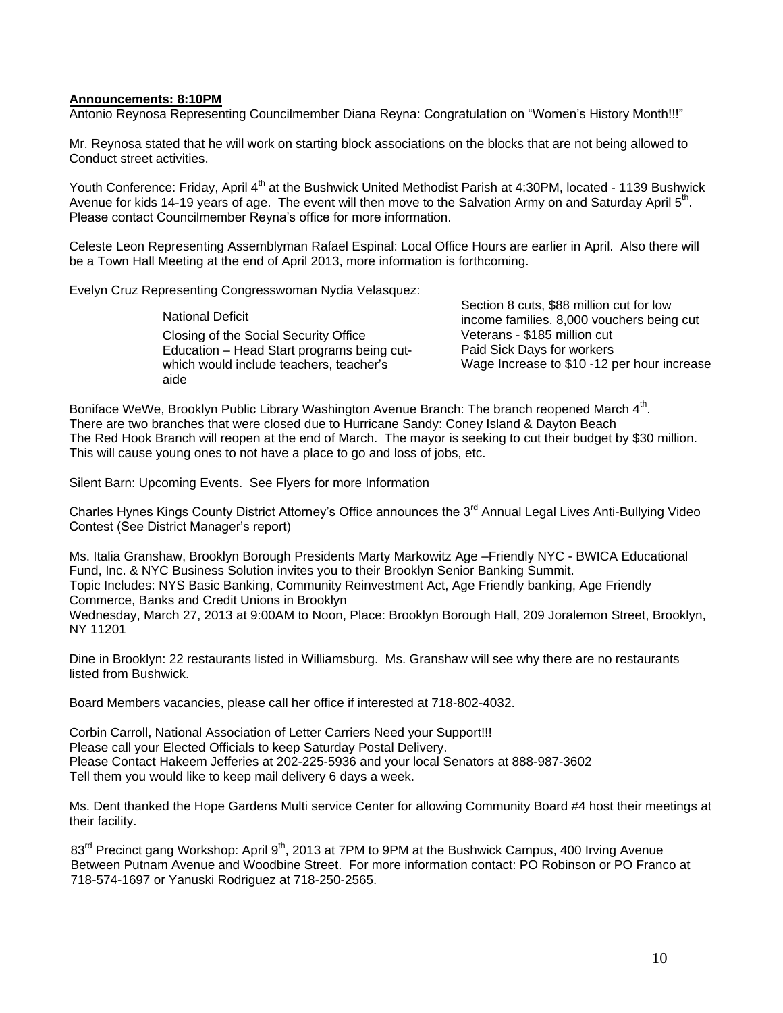### **Announcements: 8:10PM**

Antonio Reynosa Representing Councilmember Diana Reyna: Congratulation on "Women's History Month!!!"

Mr. Reynosa stated that he will work on starting block associations on the blocks that are not being allowed to Conduct street activities.

Youth Conference: Friday, April 4<sup>th</sup> at the Bushwick United Methodist Parish at 4:30PM, located - 1139 Bushwick Avenue for kids 14-19 years of age. The event will then move to the Salvation Army on and Saturday April 5<sup>th</sup>. Please contact Councilmember Reyna's office for more information.

Celeste Leon Representing Assemblyman Rafael Espinal: Local Office Hours are earlier in April. Also there will be a Town Hall Meeting at the end of April 2013, more information is forthcoming.

Evelyn Cruz Representing Congresswoman Nydia Velasquez:

National Deficit Closing of the Social Security Office Education – Head Start programs being cutwhich would include teachers, teacher's aide

Section 8 cuts, \$88 million cut for low income families. 8,000 vouchers being cut Veterans - \$185 million cut Paid Sick Days for workers Wage Increase to \$10 -12 per hour increase

Boniface WeWe, Brooklyn Public Library Washington Avenue Branch: The branch reopened March 4<sup>th</sup>. There are two branches that were closed due to Hurricane Sandy: Coney Island & Dayton Beach The Red Hook Branch will reopen at the end of March. The mayor is seeking to cut their budget by \$30 million. This will cause young ones to not have a place to go and loss of jobs, etc.

Silent Barn: Upcoming Events. See Flyers for more Information

Charles Hynes Kings County District Attorney's Office announces the 3<sup>rd</sup> Annual Legal Lives Anti-Bullying Video Contest (See District Manager's report)

Ms. Italia Granshaw, Brooklyn Borough Presidents Marty Markowitz Age –Friendly NYC - BWICA Educational Fund, Inc. & NYC Business Solution invites you to their Brooklyn Senior Banking Summit. Topic Includes: NYS Basic Banking, Community Reinvestment Act, Age Friendly banking, Age Friendly Commerce, Banks and Credit Unions in Brooklyn Wednesday, March 27, 2013 at 9:00AM to Noon, Place: Brooklyn Borough Hall, 209 Joralemon Street, Brooklyn, NY 11201

Dine in Brooklyn: 22 restaurants listed in Williamsburg. Ms. Granshaw will see why there are no restaurants listed from Bushwick.

Board Members vacancies, please call her office if interested at 718-802-4032.

Corbin Carroll, National Association of Letter Carriers Need your Support!!! Please call your Elected Officials to keep Saturday Postal Delivery. Please Contact Hakeem Jefferies at 202-225-5936 and your local Senators at 888-987-3602 Tell them you would like to keep mail delivery 6 days a week.

Ms. Dent thanked the Hope Gardens Multi service Center for allowing Community Board #4 host their meetings at their facility.

 $83<sup>rd</sup>$  Precinct gang Workshop: April  $9<sup>th</sup>$ , 2013 at 7PM to 9PM at the Bushwick Campus, 400 Irving Avenue Between Putnam Avenue and Woodbine Street. For more information contact: PO Robinson or PO Franco at 718-574-1697 or Yanuski Rodriguez at 718-250-2565.